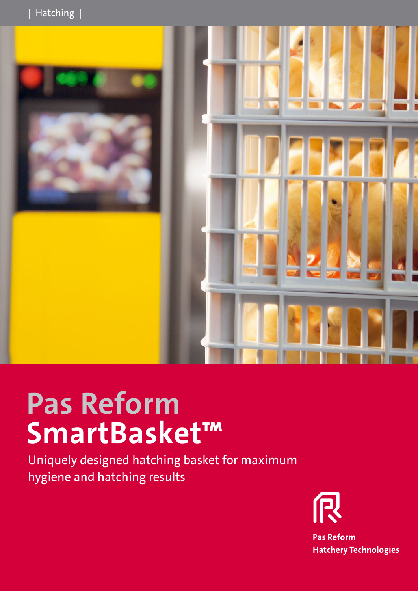

## **Pas Reform SmartBasket™**

Uniquely designed hatching basket for maximum hygiene and hatching results



Pas Reform Hatchery Techn info@pasreform.com